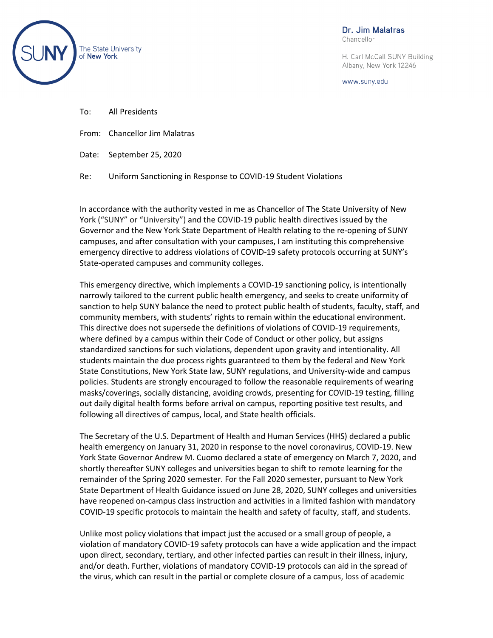

Dr. Jim Malatras

Chancellor

H. Carl McCall SUNY Building Albany, New York 12246

www.suny.edu

- To: All Presidents
- From: Chancellor Jim Malatras
- Date: September 25, 2020

Re: Uniform Sanctioning in Response to COVID-19 Student Violations

In accordance with the authority vested in me as Chancellor of The State University of New York ("SUNY" or "University") and the COVID-19 public health directives issued by the Governor and the New York State Department of Health relating to the re-opening of SUNY campuses, and after consultation with your campuses, I am instituting this comprehensive emergency directive to address violations of COVID-19 safety protocols occurring at SUNY's State-operated campuses and community colleges.

This emergency directive, which implements a COVID-19 sanctioning policy, is intentionally narrowly tailored to the current public health emergency, and seeks to create uniformity of sanction to help SUNY balance the need to protect public health of students, faculty, staff, and community members, with students' rights to remain within the educational environment. This directive does not supersede the definitions of violations of COVID-19 requirements, where defined by a campus within their Code of Conduct or other policy, but assigns standardized sanctions for such violations, dependent upon gravity and intentionality. All students maintain the due process rights guaranteed to them by the federal and New York State Constitutions, New York State law, SUNY regulations, and University-wide and campus policies. Students are strongly encouraged to follow the reasonable requirements of wearing masks/coverings, socially distancing, avoiding crowds, presenting for COVID-19 testing, filling out daily digital health forms before arrival on campus, reporting positive test results, and following all directives of campus, local, and State health officials.

The Secretary of the U.S. Department of Health and Human Services (HHS) declared a public health emergency on January 31, 2020 in response to the novel coronavirus, COVID-19. New York State Governor Andrew M. Cuomo declared a state of emergency on March 7, 2020, and shortly thereafter SUNY colleges and universities began to shift to remote learning for the remainder of the Spring 2020 semester. For the Fall 2020 semester, pursuant to New York State Department of Health Guidance issued on June 28, 2020, SUNY colleges and universities have reopened on-campus class instruction and activities in a limited fashion with mandatory COVID-19 specific protocols to maintain the health and safety of faculty, staff, and students.

Unlike most policy violations that impact just the accused or a small group of people, a violation of mandatory COVID-19 safety protocols can have a wide application and the impact upon direct, secondary, tertiary, and other infected parties can result in their illness, injury, and/or death. Further, violations of mandatory COVID-19 protocols can aid in the spread of the virus, which can result in the partial or complete closure of a campus, loss of academic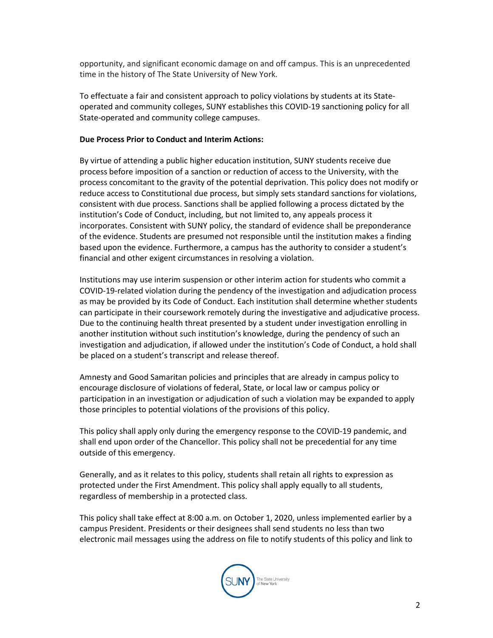opportunity, and significant economic damage on and off campus. This is an unprecedented time in the history of The State University of New York.

To effectuate a fair and consistent approach to policy violations by students at its Stateoperated and community colleges, SUNY establishes this COVID-19 sanctioning policy for all State-operated and community college campuses.

## **Due Process Prior to Conduct and Interim Actions:**

By virtue of attending a public higher education institution, SUNY students receive due process before imposition of a sanction or reduction of access to the University, with the process concomitant to the gravity of the potential deprivation. This policy does not modify or reduce access to Constitutional due process, but simply sets standard sanctions for violations, consistent with due process. Sanctions shall be applied following a process dictated by the institution's Code of Conduct, including, but not limited to, any appeals process it incorporates. Consistent with SUNY policy, the standard of evidence shall be preponderance of the evidence. Students are presumed not responsible until the institution makes a finding based upon the evidence. Furthermore, a campus has the authority to consider a student's financial and other exigent circumstances in resolving a violation.

Institutions may use interim suspension or other interim action for students who commit a COVID-19-related violation during the pendency of the investigation and adjudication process as may be provided by its Code of Conduct. Each institution shall determine whether students can participate in their coursework remotely during the investigative and adjudicative process. Due to the continuing health threat presented by a student under investigation enrolling in another institution without such institution's knowledge, during the pendency of such an investigation and adjudication, if allowed under the institution's Code of Conduct, a hold shall be placed on a student's transcript and release thereof.

Amnesty and Good Samaritan policies and principles that are already in campus policy to encourage disclosure of violations of federal, State, or local law or campus policy or participation in an investigation or adjudication of such a violation may be expanded to apply those principles to potential violations of the provisions of this policy.

This policy shall apply only during the emergency response to the COVID-19 pandemic, and shall end upon order of the Chancellor. This policy shall not be precedential for any time outside of this emergency.

Generally, and as it relates to this policy, students shall retain all rights to expression as protected under the First Amendment. This policy shall apply equally to all students, regardless of membership in a protected class.

This policy shall take effect at 8:00 a.m. on October 1, 2020, unless implemented earlier by a campus President. Presidents or their designees shall send students no less than two electronic mail messages using the address on file to notify students of this policy and link to

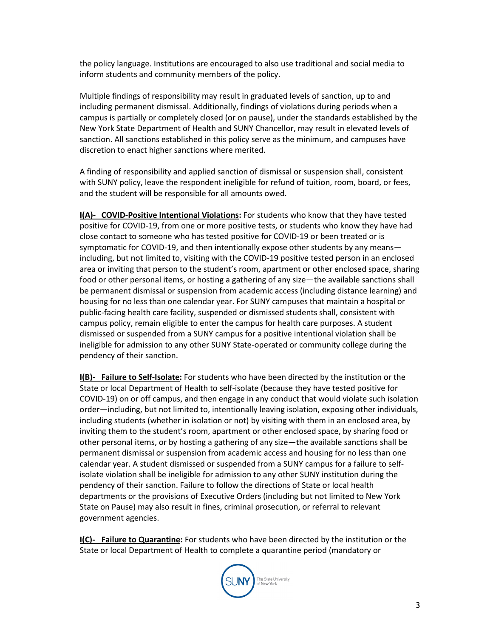the policy language. Institutions are encouraged to also use traditional and social media to inform students and community members of the policy.

Multiple findings of responsibility may result in graduated levels of sanction, up to and including permanent dismissal. Additionally, findings of violations during periods when a campus is partially or completely closed (or on pause), under the standards established by the New York State Department of Health and SUNY Chancellor, may result in elevated levels of sanction. All sanctions established in this policy serve as the minimum, and campuses have discretion to enact higher sanctions where merited.

A finding of responsibility and applied sanction of dismissal or suspension shall, consistent with SUNY policy, leave the respondent ineligible for refund of tuition, room, board, or fees, and the student will be responsible for all amounts owed.

**I(A)- COVID-Positive Intentional Violations:** For students who know that they have tested positive for COVID-19, from one or more positive tests, or students who know they have had close contact to someone who has tested positive for COVID-19 or been treated or is symptomatic for COVID-19, and then intentionally expose other students by any means including, but not limited to, visiting with the COVID-19 positive tested person in an enclosed area or inviting that person to the student's room, apartment or other enclosed space, sharing food or other personal items, or hosting a gathering of any size—the available sanctions shall be permanent dismissal or suspension from academic access (including distance learning) and housing for no less than one calendar year. For SUNY campuses that maintain a hospital or public-facing health care facility, suspended or dismissed students shall, consistent with campus policy, remain eligible to enter the campus for health care purposes. A student dismissed or suspended from a SUNY campus for a positive intentional violation shall be ineligible for admission to any other SUNY State-operated or community college during the pendency of their sanction.

**I(B)- Failure to Self-Isolate:** For students who have been directed by the institution or the State or local Department of Health to self-isolate (because they have tested positive for COVID-19) on or off campus, and then engage in any conduct that would violate such isolation order—including, but not limited to, intentionally leaving isolation, exposing other individuals, including students (whether in isolation or not) by visiting with them in an enclosed area, by inviting them to the student's room, apartment or other enclosed space, by sharing food or other personal items, or by hosting a gathering of any size—the available sanctions shall be permanent dismissal or suspension from academic access and housing for no less than one calendar year. A student dismissed or suspended from a SUNY campus for a failure to selfisolate violation shall be ineligible for admission to any other SUNY institution during the pendency of their sanction. Failure to follow the directions of State or local health departments or the provisions of Executive Orders (including but not limited to New York State on Pause) may also result in fines, criminal prosecution, or referral to relevant government agencies.

**I(C)- Failure to Quarantine:** For students who have been directed by the institution or the State or local Department of Health to complete a quarantine period (mandatory or

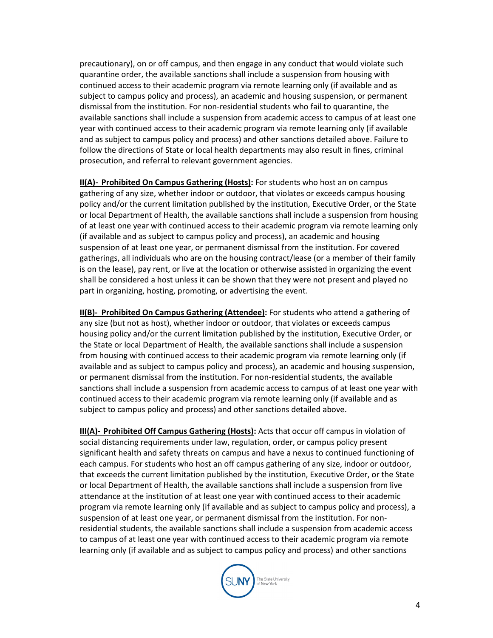precautionary), on or off campus, and then engage in any conduct that would violate such quarantine order, the available sanctions shall include a suspension from housing with continued access to their academic program via remote learning only (if available and as subject to campus policy and process), an academic and housing suspension, or permanent dismissal from the institution. For non-residential students who fail to quarantine, the available sanctions shall include a suspension from academic access to campus of at least one year with continued access to their academic program via remote learning only (if available and as subject to campus policy and process) and other sanctions detailed above. Failure to follow the directions of State or local health departments may also result in fines, criminal prosecution, and referral to relevant government agencies.

**II(A)- Prohibited On Campus Gathering (Hosts):** For students who host an on campus gathering of any size, whether indoor or outdoor, that violates or exceeds campus housing policy and/or the current limitation published by the institution, Executive Order, or the State or local Department of Health, the available sanctions shall include a suspension from housing of at least one year with continued access to their academic program via remote learning only (if available and as subject to campus policy and process), an academic and housing suspension of at least one year, or permanent dismissal from the institution. For covered gatherings, all individuals who are on the housing contract/lease (or a member of their family is on the lease), pay rent, or live at the location or otherwise assisted in organizing the event shall be considered a host unless it can be shown that they were not present and played no part in organizing, hosting, promoting, or advertising the event.

**II(B)- Prohibited On Campus Gathering (Attendee):** For students who attend a gathering of any size (but not as host), whether indoor or outdoor, that violates or exceeds campus housing policy and/or the current limitation published by the institution, Executive Order, or the State or local Department of Health, the available sanctions shall include a suspension from housing with continued access to their academic program via remote learning only (if available and as subject to campus policy and process), an academic and housing suspension, or permanent dismissal from the institution. For non-residential students, the available sanctions shall include a suspension from academic access to campus of at least one year with continued access to their academic program via remote learning only (if available and as subject to campus policy and process) and other sanctions detailed above.

**III(A)- Prohibited Off Campus Gathering (Hosts):** Acts that occur off campus in violation of social distancing requirements under law, regulation, order, or campus policy present significant health and safety threats on campus and have a nexus to continued functioning of each campus. For students who host an off campus gathering of any size, indoor or outdoor, that exceeds the current limitation published by the institution, Executive Order, or the State or local Department of Health, the available sanctions shall include a suspension from live attendance at the institution of at least one year with continued access to their academic program via remote learning only (if available and as subject to campus policy and process), a suspension of at least one year, or permanent dismissal from the institution. For nonresidential students, the available sanctions shall include a suspension from academic access to campus of at least one year with continued access to their academic program via remote learning only (if available and as subject to campus policy and process) and other sanctions

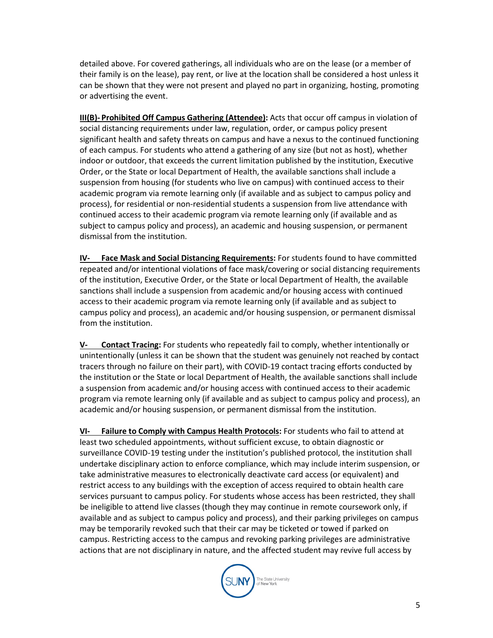detailed above. For covered gatherings, all individuals who are on the lease (or a member of their family is on the lease), pay rent, or live at the location shall be considered a host unless it can be shown that they were not present and played no part in organizing, hosting, promoting or advertising the event.

**III(B)- Prohibited Off Campus Gathering (Attendee):** Acts that occur off campus in violation of social distancing requirements under law, regulation, order, or campus policy present significant health and safety threats on campus and have a nexus to the continued functioning of each campus. For students who attend a gathering of any size (but not as host), whether indoor or outdoor, that exceeds the current limitation published by the institution, Executive Order, or the State or local Department of Health, the available sanctions shall include a suspension from housing (for students who live on campus) with continued access to their academic program via remote learning only (if available and as subject to campus policy and process), for residential or non-residential students a suspension from live attendance with continued access to their academic program via remote learning only (if available and as subject to campus policy and process), an academic and housing suspension, or permanent dismissal from the institution.

**IV- Face Mask and Social Distancing Requirements:** For students found to have committed repeated and/or intentional violations of face mask/covering or social distancing requirements of the institution, Executive Order, or the State or local Department of Health, the available sanctions shall include a suspension from academic and/or housing access with continued access to their academic program via remote learning only (if available and as subject to campus policy and process), an academic and/or housing suspension, or permanent dismissal from the institution.

**V- Contact Tracing:** For students who repeatedly fail to comply, whether intentionally or unintentionally (unless it can be shown that the student was genuinely not reached by contact tracers through no failure on their part), with COVID-19 contact tracing efforts conducted by the institution or the State or local Department of Health, the available sanctions shall include a suspension from academic and/or housing access with continued access to their academic program via remote learning only (if available and as subject to campus policy and process), an academic and/or housing suspension, or permanent dismissal from the institution.

**VI- Failure to Comply with Campus Health Protocols:** For students who fail to attend at least two scheduled appointments, without sufficient excuse, to obtain diagnostic or surveillance COVID-19 testing under the institution's published protocol, the institution shall undertake disciplinary action to enforce compliance, which may include interim suspension, or take administrative measures to electronically deactivate card access (or equivalent) and restrict access to any buildings with the exception of access required to obtain health care services pursuant to campus policy. For students whose access has been restricted, they shall be ineligible to attend live classes (though they may continue in remote coursework only, if available and as subject to campus policy and process), and their parking privileges on campus may be temporarily revoked such that their car may be ticketed or towed if parked on campus. Restricting access to the campus and revoking parking privileges are administrative actions that are not disciplinary in nature, and the affected student may revive full access by

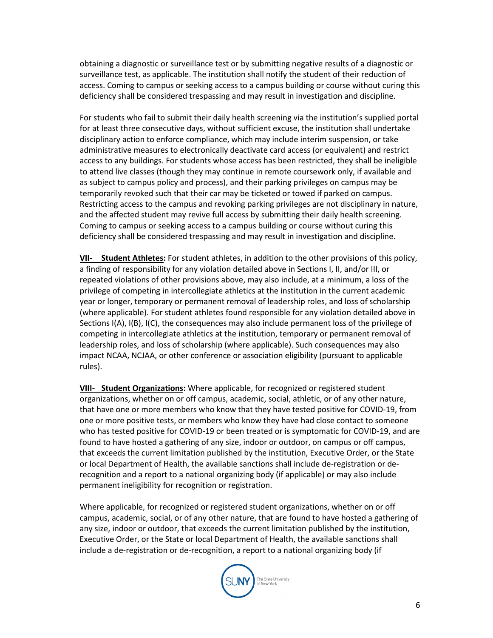obtaining a diagnostic or surveillance test or by submitting negative results of a diagnostic or surveillance test, as applicable. The institution shall notify the student of their reduction of access. Coming to campus or seeking access to a campus building or course without curing this deficiency shall be considered trespassing and may result in investigation and discipline.

For students who fail to submit their daily health screening via the institution's supplied portal for at least three consecutive days, without sufficient excuse, the institution shall undertake disciplinary action to enforce compliance, which may include interim suspension, or take administrative measures to electronically deactivate card access (or equivalent) and restrict access to any buildings. For students whose access has been restricted, they shall be ineligible to attend live classes (though they may continue in remote coursework only, if available and as subject to campus policy and process), and their parking privileges on campus may be temporarily revoked such that their car may be ticketed or towed if parked on campus. Restricting access to the campus and revoking parking privileges are not disciplinary in nature, and the affected student may revive full access by submitting their daily health screening. Coming to campus or seeking access to a campus building or course without curing this deficiency shall be considered trespassing and may result in investigation and discipline.

**VII- Student Athletes:** For student athletes, in addition to the other provisions of this policy, a finding of responsibility for any violation detailed above in Sections I, II, and/or III, or repeated violations of other provisions above, may also include, at a minimum, a loss of the privilege of competing in intercollegiate athletics at the institution in the current academic year or longer, temporary or permanent removal of leadership roles, and loss of scholarship (where applicable). For student athletes found responsible for any violation detailed above in Sections I(A), I(B), I(C), the consequences may also include permanent loss of the privilege of competing in intercollegiate athletics at the institution, temporary or permanent removal of leadership roles, and loss of scholarship (where applicable). Such consequences may also impact NCAA, NCJAA, or other conference or association eligibility (pursuant to applicable rules).

**VIII- Student Organizations:** Where applicable, for recognized or registered student organizations, whether on or off campus, academic, social, athletic, or of any other nature, that have one or more members who know that they have tested positive for COVID-19, from one or more positive tests, or members who know they have had close contact to someone who has tested positive for COVID-19 or been treated or is symptomatic for COVID-19, and are found to have hosted a gathering of any size, indoor or outdoor, on campus or off campus, that exceeds the current limitation published by the institution, Executive Order, or the State or local Department of Health, the available sanctions shall include de-registration or derecognition and a report to a national organizing body (if applicable) or may also include permanent ineligibility for recognition or registration.

Where applicable, for recognized or registered student organizations, whether on or off campus, academic, social, or of any other nature, that are found to have hosted a gathering of any size, indoor or outdoor, that exceeds the current limitation published by the institution, Executive Order, or the State or local Department of Health, the available sanctions shall include a de-registration or de-recognition, a report to a national organizing body (if